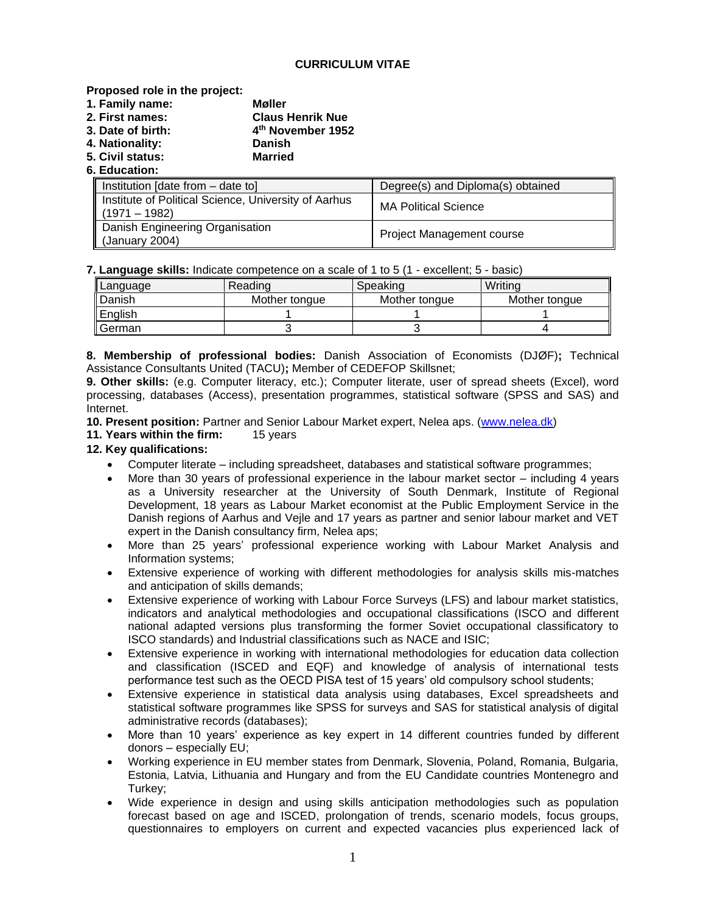## **CURRICULUM VITAE**

## **Proposed role in the project:**

- **1. Family name: Møller**
- **2. First names: Claus Henrik Nue**
- **3. Date of birth: 4 th November 1952**
- **4. Nationality: Danish**
- **5. Civil status: Married**
- **6. Education:**

| Institution [date from – date to]                                       | Degree(s) and Diploma(s) obtained |
|-------------------------------------------------------------------------|-----------------------------------|
| Institute of Political Science, University of Aarhus<br>$(1971 - 1982)$ | <b>MA Political Science</b>       |
| Danish Engineering Organisation<br>(January 2004)                       | <b>Project Management course</b>  |

**7. Language skills:** Indicate competence on a scale of 1 to 5 (1 - excellent; 5 - basic)

| Language   | Reading       | Speaking      | Writina       |
|------------|---------------|---------------|---------------|
| I Danish   | Mother tongue | Mother tongue | Mother tongue |
| English    |               |               |               |
| ll Germani |               |               |               |

**8. Membership of professional bodies:** Danish Association of Economists (DJØF)**;** Technical Assistance Consultants United (TACU)**;** Member of CEDEFOP Skillsnet;

**9. Other skills:** (e.g. Computer literacy, etc.); Computer literate, user of spread sheets (Excel), word processing, databases (Access), presentation programmes, statistical software (SPSS and SAS) and Internet.

**10. Present position:** Partner and Senior Labour Market expert, Nelea aps. [\(www.nelea.dk\)](http://www.nelea.dk/)

**11. Years within the firm:** 15 years

## **12. Key qualifications:**

- Computer literate including spreadsheet, databases and statistical software programmes;
- More than 30 years of professional experience in the labour market sector including 4 years as a University researcher at the University of South Denmark, Institute of Regional Development, 18 years as Labour Market economist at the Public Employment Service in the Danish regions of Aarhus and Vejle and 17 years as partner and senior labour market and VET expert in the Danish consultancy firm, Nelea aps;
- More than 25 years' professional experience working with Labour Market Analysis and Information systems;
- Extensive experience of working with different methodologies for analysis skills mis-matches and anticipation of skills demands;
- Extensive experience of working with Labour Force Surveys (LFS) and labour market statistics, indicators and analytical methodologies and occupational classifications (ISCO and different national adapted versions plus transforming the former Soviet occupational classificatory to ISCO standards) and Industrial classifications such as NACE and ISIC;
- Extensive experience in working with international methodologies for education data collection and classification (ISCED and EQF) and knowledge of analysis of international tests performance test such as the OECD PISA test of 15 years' old compulsory school students;
- Extensive experience in statistical data analysis using databases, Excel spreadsheets and statistical software programmes like SPSS for surveys and SAS for statistical analysis of digital administrative records (databases);
- More than 10 years' experience as key expert in 14 different countries funded by different donors – especially EU;
- Working experience in EU member states from Denmark, Slovenia, Poland, Romania, Bulgaria, Estonia, Latvia, Lithuania and Hungary and from the EU Candidate countries Montenegro and Turkey;
- Wide experience in design and using skills anticipation methodologies such as population forecast based on age and ISCED, prolongation of trends, scenario models, focus groups, questionnaires to employers on current and expected vacancies plus experienced lack of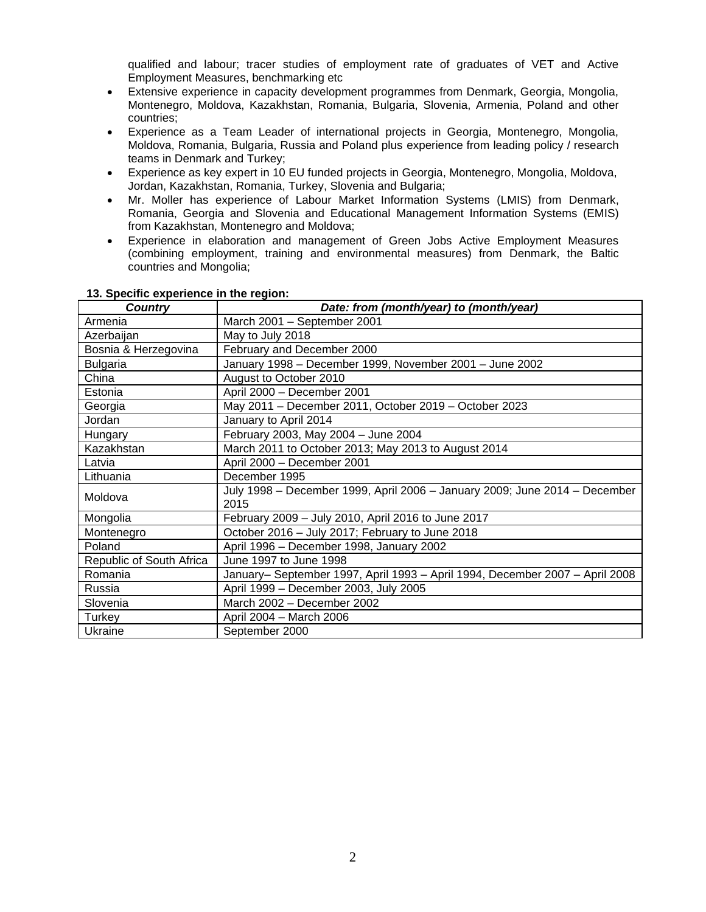qualified and labour; tracer studies of employment rate of graduates of VET and Active Employment Measures, benchmarking etc

- Extensive experience in capacity development programmes from Denmark, Georgia, Mongolia, Montenegro, Moldova, Kazakhstan, Romania, Bulgaria, Slovenia, Armenia, Poland and other countries;
- Experience as a Team Leader of international projects in Georgia, Montenegro, Mongolia, Moldova, Romania, Bulgaria, Russia and Poland plus experience from leading policy / research teams in Denmark and Turkey;
- Experience as key expert in 10 EU funded projects in Georgia, Montenegro, Mongolia, Moldova, Jordan, Kazakhstan, Romania, Turkey, Slovenia and Bulgaria;
- Mr. Moller has experience of Labour Market Information Systems (LMIS) from Denmark, Romania, Georgia and Slovenia and Educational Management Information Systems (EMIS) from Kazakhstan, Montenegro and Moldova;
- Experience in elaboration and management of Green Jobs Active Employment Measures (combining employment, training and environmental measures) from Denmark, the Baltic countries and Mongolia;

| <b>Country</b>           | Date: from (month/year) to (month/year)                                            |  |  |
|--------------------------|------------------------------------------------------------------------------------|--|--|
| Armenia                  | March 2001 - September 2001                                                        |  |  |
| Azerbaijan               | May to July 2018                                                                   |  |  |
| Bosnia & Herzegovina     | February and December 2000                                                         |  |  |
| <b>Bulgaria</b>          | January 1998 - December 1999, November 2001 - June 2002                            |  |  |
| China                    | August to October 2010                                                             |  |  |
| Estonia                  | April 2000 - December 2001                                                         |  |  |
| Georgia                  | May 2011 - December 2011, October 2019 - October 2023                              |  |  |
| Jordan                   | January to April 2014                                                              |  |  |
| Hungary                  | February 2003, May 2004 - June 2004                                                |  |  |
| Kazakhstan               | March 2011 to October 2013; May 2013 to August 2014                                |  |  |
| Latvia                   | April 2000 - December 2001                                                         |  |  |
| Lithuania                | December 1995                                                                      |  |  |
| Moldova                  | July 1998 - December 1999, April 2006 - January 2009; June 2014 - December<br>2015 |  |  |
| Mongolia                 | February 2009 - July 2010, April 2016 to June 2017                                 |  |  |
| Montenegro               | October 2016 - July 2017; February to June 2018                                    |  |  |
| Poland                   | April 1996 - December 1998, January 2002                                           |  |  |
| Republic of South Africa | June 1997 to June 1998                                                             |  |  |
| Romania                  | January- September 1997, April 1993 - April 1994, December 2007 - April 2008       |  |  |
| Russia                   | April 1999 - December 2003, July 2005                                              |  |  |
| Slovenia                 | March 2002 - December 2002                                                         |  |  |
| Turkey                   | April 2004 - March 2006                                                            |  |  |
| Ukraine                  | September 2000                                                                     |  |  |

### **13. Specific experience in the region:**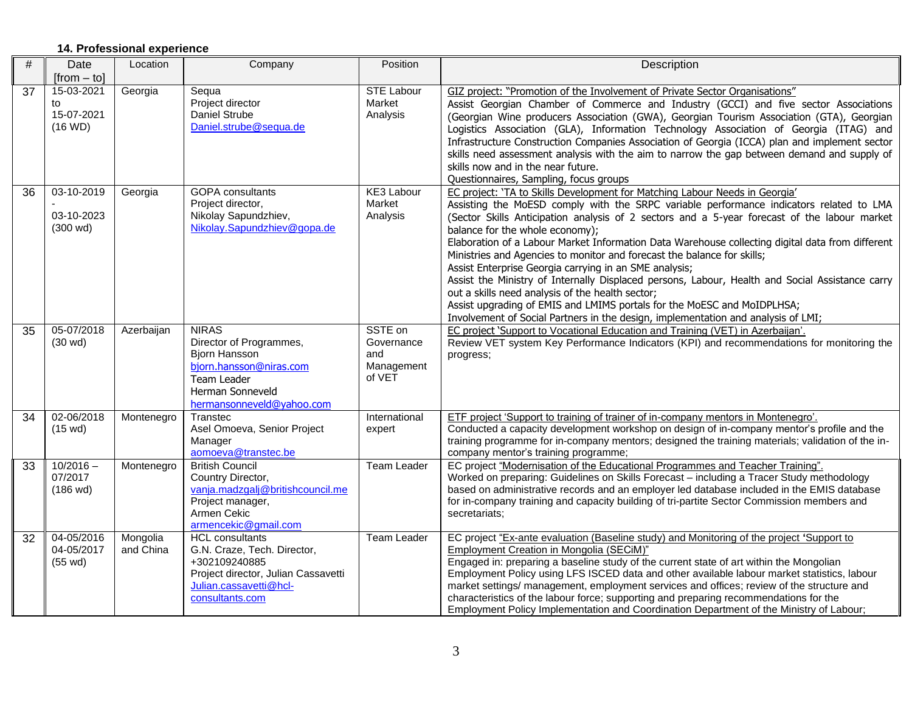# **14. Professional experience**

| #  | Date                                           | Location              | Company                                                                                                                                                    | Position                                             | Description                                                                                                                                                                                                                                                                                                                                                                                                                                                                                                                                                                                                                                                                                                                                                                                                                                                               |
|----|------------------------------------------------|-----------------------|------------------------------------------------------------------------------------------------------------------------------------------------------------|------------------------------------------------------|---------------------------------------------------------------------------------------------------------------------------------------------------------------------------------------------------------------------------------------------------------------------------------------------------------------------------------------------------------------------------------------------------------------------------------------------------------------------------------------------------------------------------------------------------------------------------------------------------------------------------------------------------------------------------------------------------------------------------------------------------------------------------------------------------------------------------------------------------------------------------|
|    | $[from - tol]$                                 |                       |                                                                                                                                                            |                                                      |                                                                                                                                                                                                                                                                                                                                                                                                                                                                                                                                                                                                                                                                                                                                                                                                                                                                           |
| 37 | 15-03-2021<br>to<br>15-07-2021<br>(16 WD)      | Georgia               | Sequa<br>Project director<br>Daniel Strube<br>Daniel.strube@sequa.de                                                                                       | <b>STE Labour</b><br>Market<br>Analysis              | GIZ project: "Promotion of the Involvement of Private Sector Organisations"<br>Assist Georgian Chamber of Commerce and Industry (GCCI) and five sector Associations<br>(Georgian Wine producers Association (GWA), Georgian Tourism Association (GTA), Georgian<br>Logistics Association (GLA), Information Technology Association of Georgia (ITAG) and<br>Infrastructure Construction Companies Association of Georgia (ICCA) plan and implement sector<br>skills need assessment analysis with the aim to narrow the gap between demand and supply of<br>skills now and in the near future.<br>Questionnaires, Sampling, focus groups                                                                                                                                                                                                                                  |
| 36 | 03-10-2019<br>03-10-2023<br>$(300 \text{ wd})$ | Georgia               | <b>GOPA</b> consultants<br>Project director,<br>Nikolay Sapundzhiev,<br>Nikolay.Sapundzhiev@gopa.de                                                        | <b>KE3 Labour</b><br>Market<br>Analysis              | EC project: 'TA to Skills Development for Matching Labour Needs in Georgia'<br>Assisting the MoESD comply with the SRPC variable performance indicators related to LMA<br>(Sector Skills Anticipation analysis of 2 sectors and a 5-year forecast of the labour market<br>balance for the whole economy);<br>Elaboration of a Labour Market Information Data Warehouse collecting digital data from different<br>Ministries and Agencies to monitor and forecast the balance for skills;<br>Assist Enterprise Georgia carrying in an SME analysis;<br>Assist the Ministry of Internally Displaced persons, Labour, Health and Social Assistance carry<br>out a skills need analysis of the health sector;<br>Assist upgrading of EMIS and LMIMS portals for the MoESC and MoIDPLHSA;<br>Involvement of Social Partners in the design, implementation and analysis of LMI; |
| 35 | 05-07/2018<br>$(30 \text{ wd})$                | Azerbaijan            | <b>NIRAS</b><br>Director of Programmes,<br><b>Biorn Hansson</b><br>bjorn.hansson@niras.com<br>Team Leader<br>Herman Sonneveld<br>hermansonneveld@yahoo.com | SSTE on<br>Governance<br>and<br>Management<br>of VET | EC project 'Support to Vocational Education and Training (VET) in Azerbaijan'.<br>Review VET system Key Performance Indicators (KPI) and recommendations for monitoring the<br>progress;                                                                                                                                                                                                                                                                                                                                                                                                                                                                                                                                                                                                                                                                                  |
| 34 | 02-06/2018<br>$(15 \text{ wd})$                | Montenegro            | Transtec<br>Asel Omoeva, Senior Project<br>Manager<br>aomoeva@transtec.be                                                                                  | International<br>expert                              | ETF project 'Support to training of trainer of in-company mentors in Montenegro'.<br>Conducted a capacity development workshop on design of in-company mentor's profile and the<br>training programme for in-company mentors; designed the training materials; validation of the in-<br>company mentor's training programme;                                                                                                                                                                                                                                                                                                                                                                                                                                                                                                                                              |
| 33 | $10/2016 -$<br>07/2017<br>$(186 \text{ wd})$   | Montenegro            | <b>British Council</b><br>Country Director,<br>vanja.madzgalj@britishcouncil.me<br>Project manager,<br>Armen Cekic<br>armencekic@gmail.com                 | <b>Team Leader</b>                                   | EC project "Modernisation of the Educational Programmes and Teacher Training".<br>Worked on preparing: Guidelines on Skills Forecast - including a Tracer Study methodology<br>based on administrative records and an employer led database included in the EMIS database<br>for in-company training and capacity building of tri-partite Sector Commission members and<br>secretariats:                                                                                                                                                                                                                                                                                                                                                                                                                                                                                  |
| 32 | 04-05/2016<br>04-05/2017<br>$(55 \text{ wd})$  | Mongolia<br>and China | <b>HCL</b> consultants<br>G.N. Craze, Tech. Director,<br>+302109240885<br>Project director, Julian Cassavetti<br>Julian.cassavetti@hcl-<br>consultants.com | Team Leader                                          | EC project "Ex-ante evaluation (Baseline study) and Monitoring of the project 'Support to<br>Employment Creation in Mongolia (SECiM)"<br>Engaged in: preparing a baseline study of the current state of art within the Mongolian<br>Employment Policy using LFS ISCED data and other available labour market statistics, labour<br>market settings/ management, employment services and offices; review of the structure and<br>characteristics of the labour force; supporting and preparing recommendations for the<br>Employment Policy Implementation and Coordination Department of the Ministry of Labour;                                                                                                                                                                                                                                                          |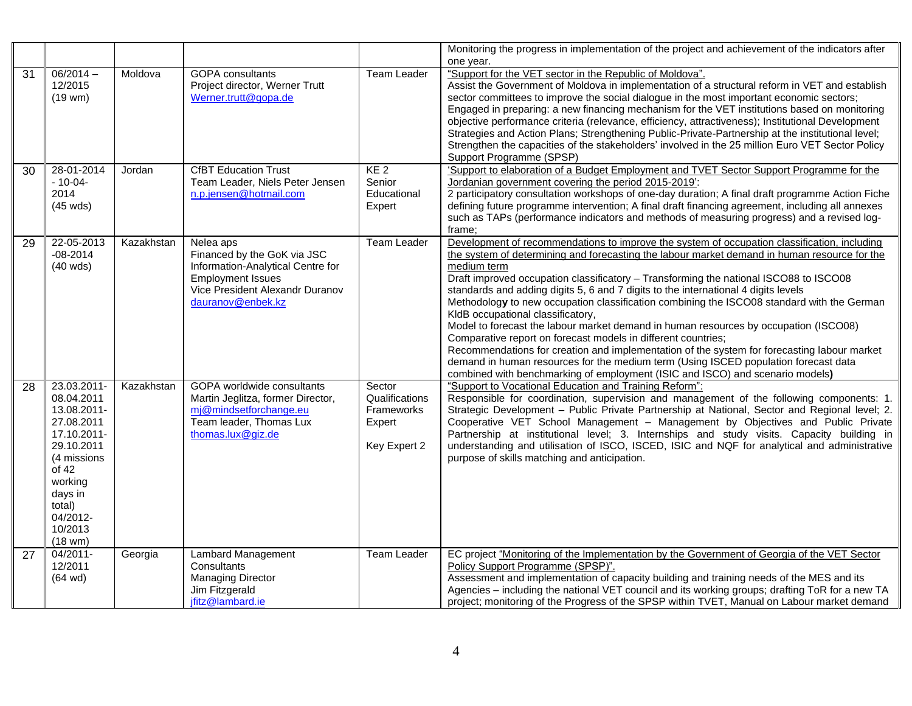|    |                                                                                                                                                                                          |            |                                                                                                                                                                   |                                                                         | Monitoring the progress in implementation of the project and achievement of the indicators after<br>one year.                                                                                                                                                                                                                                                                                                                                                                                                                                                                                                                                                                                                                                                                                                                                                                                                                                                 |
|----|------------------------------------------------------------------------------------------------------------------------------------------------------------------------------------------|------------|-------------------------------------------------------------------------------------------------------------------------------------------------------------------|-------------------------------------------------------------------------|---------------------------------------------------------------------------------------------------------------------------------------------------------------------------------------------------------------------------------------------------------------------------------------------------------------------------------------------------------------------------------------------------------------------------------------------------------------------------------------------------------------------------------------------------------------------------------------------------------------------------------------------------------------------------------------------------------------------------------------------------------------------------------------------------------------------------------------------------------------------------------------------------------------------------------------------------------------|
| 31 | $06/2014 -$<br>12/2015<br>$(19$ wm $)$                                                                                                                                                   | Moldova    | <b>GOPA</b> consultants<br>Project director, Werner Trutt<br>Werner.trutt@gopa.de                                                                                 | <b>Team Leader</b>                                                      | "Support for the VET sector in the Republic of Moldova".<br>Assist the Government of Moldova in implementation of a structural reform in VET and establish<br>sector committees to improve the social dialogue in the most important economic sectors;<br>Engaged in preparing: a new financing mechanism for the VET institutions based on monitoring<br>objective performance criteria (relevance, efficiency, attractiveness); Institutional Development<br>Strategies and Action Plans; Strengthening Public-Private-Partnership at the institutional level;<br>Strengthen the capacities of the stakeholders' involved in the 25 million Euro VET Sector Policy<br>Support Programme (SPSP)                                                                                                                                                                                                                                                              |
| 30 | 28-01-2014<br>$-10-04-$<br>2014<br>$(45 \text{ wds})$                                                                                                                                    | Jordan     | <b>CfBT Education Trust</b><br>Team Leader, Niels Peter Jensen<br>n.p.jensen@hotmail.com                                                                          | KE <sub>2</sub><br>Senior<br>Educational<br>Expert                      | 'Support to elaboration of a Budget Employment and TVET Sector Support Programme for the<br>Jordanian government covering the period 2015-2019':<br>2 participatory consultation workshops of one-day duration; A final draft programme Action Fiche<br>defining future programme intervention; A final draft financing agreement, including all annexes<br>such as TAPs (performance indicators and methods of measuring progress) and a revised log-<br>frame:                                                                                                                                                                                                                                                                                                                                                                                                                                                                                              |
| 29 | 22-05-2013<br>$-08 - 2014$<br>$(40$ wds)                                                                                                                                                 | Kazakhstan | Nelea aps<br>Financed by the GoK via JSC<br>Information-Analytical Centre for<br><b>Employment Issues</b><br>Vice President Alexandr Duranov<br>dauranov@enbek.kz | Team Leader                                                             | Development of recommendations to improve the system of occupation classification, including<br>the system of determining and forecasting the labour market demand in human resource for the<br>medium term<br>Draft improved occupation classificatory - Transforming the national ISCO88 to ISCO08<br>standards and adding digits 5, 6 and 7 digits to the international 4 digits levels<br>Methodology to new occupation classification combining the ISCO08 standard with the German<br>KIdB occupational classificatory,<br>Model to forecast the labour market demand in human resources by occupation (ISCO08)<br>Comparative report on forecast models in different countries;<br>Recommendations for creation and implementation of the system for forecasting labour market<br>demand in human resources for the medium term (Using ISCED population forecast data<br>combined with benchmarking of employment (ISIC and ISCO) and scenario models) |
| 28 | 23.03.2011-<br>08.04.2011<br>13.08.2011-<br>27.08.2011<br>17.10.2011-<br>29.10.2011<br>(4 missions<br>of $42$<br>working<br>days in<br>total)<br>04/2012-<br>10/2013<br>$(18 \text{ w})$ | Kazakhstan | GOPA worldwide consultants<br>Martin Jeglitza, former Director,<br>mj@mindsetforchange.eu<br>Team leader, Thomas Lux<br>thomas.lux@giz.de                         | Sector<br>Qualifications<br><b>Frameworks</b><br>Expert<br>Key Expert 2 | "Support to Vocational Education and Training Reform":<br>Responsible for coordination, supervision and management of the following components: 1.<br>Strategic Development - Public Private Partnership at National, Sector and Regional level; 2.<br>Cooperative VET School Management - Management by Objectives and Public Private<br>Partnership at institutional level; 3. Internships and study visits. Capacity building in<br>understanding and utilisation of ISCO, ISCED, ISIC and NQF for analytical and administrative<br>purpose of skills matching and anticipation.                                                                                                                                                                                                                                                                                                                                                                           |
| 27 | 04/2011-<br>12/2011<br>$(64 \text{ wd})$                                                                                                                                                 | Georgia    | Lambard Management<br>Consultants<br><b>Managing Director</b><br>Jim Fitzgerald<br>ifitz@lambard.ie                                                               | Team Leader                                                             | EC project "Monitoring of the Implementation by the Government of Georgia of the VET Sector<br>Policy Support Programme (SPSP)".<br>Assessment and implementation of capacity building and training needs of the MES and its<br>Agencies - including the national VET council and its working groups; drafting ToR for a new TA<br>project; monitoring of the Progress of the SPSP within TVET, Manual on Labour market demand                                                                                                                                                                                                                                                                                                                                                                                                                                                                                                                                |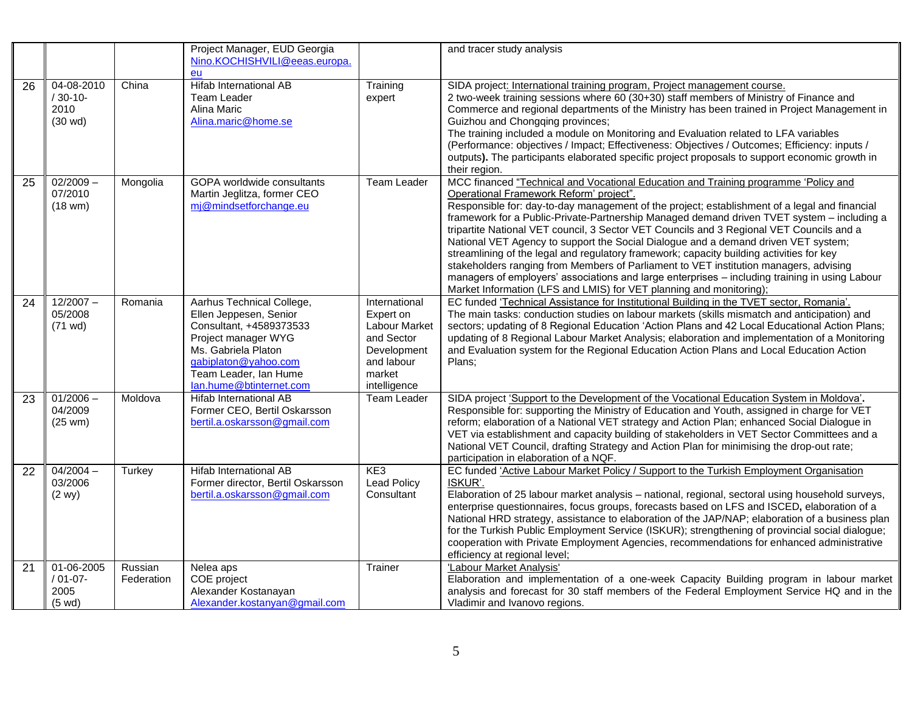|    |                                                      |                       | Project Manager, EUD Georgia<br>Nino.KOCHISHVILI@eeas.europa.<br>eu                                                                                                                                      |                                                                                                                         | and tracer study analysis                                                                                                                                                                                                                                                                                                                                                                                                                                                                                                                                                                                                                                                                                                                                                                                                                                                     |
|----|------------------------------------------------------|-----------------------|----------------------------------------------------------------------------------------------------------------------------------------------------------------------------------------------------------|-------------------------------------------------------------------------------------------------------------------------|-------------------------------------------------------------------------------------------------------------------------------------------------------------------------------------------------------------------------------------------------------------------------------------------------------------------------------------------------------------------------------------------------------------------------------------------------------------------------------------------------------------------------------------------------------------------------------------------------------------------------------------------------------------------------------------------------------------------------------------------------------------------------------------------------------------------------------------------------------------------------------|
| 26 | 04-08-2010<br>$/30-10-$<br>2010<br>$(30 \text{ wd})$ | China                 | Hifab International AB<br>Team Leader<br>Alina Maric<br>Alina.maric@home.se                                                                                                                              | Training<br>expert                                                                                                      | SIDA project: International training program, Project management course.<br>2 two-week training sessions where 60 (30+30) staff members of Ministry of Finance and<br>Commerce and regional departments of the Ministry has been trained in Project Management in<br>Guizhou and Chongqing provinces;<br>The training included a module on Monitoring and Evaluation related to LFA variables<br>(Performance: objectives / Impact; Effectiveness: Objectives / Outcomes; Efficiency: inputs /<br>outputs). The participants elaborated specific project proposals to support economic growth in<br>their region.                                                                                                                                                                                                                                                             |
| 25 | $02/2009 -$<br>07/2010<br>$(18 \text{ w})$           | Mongolia              | <b>GOPA</b> worldwide consultants<br>Martin Jeglitza, former CEO<br>mj@mindsetforchange.eu                                                                                                               | Team Leader                                                                                                             | MCC financed "Technical and Vocational Education and Training programme 'Policy and<br>Operational Framework Reform' project".<br>Responsible for: day-to-day management of the project; establishment of a legal and financial<br>framework for a Public-Private-Partnership Managed demand driven TVET system - including a<br>tripartite National VET council, 3 Sector VET Councils and 3 Regional VET Councils and a<br>National VET Agency to support the Social Dialogue and a demand driven VET system;<br>streamlining of the legal and regulatory framework; capacity building activities for key<br>stakeholders ranging from Members of Parliament to VET institution managers, advising<br>managers of employers' associations and large enterprises - including training in using Labour<br>Market Information (LFS and LMIS) for VET planning and monitoring); |
| 24 | $12/2007 -$<br>05/2008<br>$(71 \text{ wd})$          | Romania               | Aarhus Technical College,<br>Ellen Jeppesen, Senior<br>Consultant, +4589373533<br>Project manager WYG<br>Ms. Gabriela Platon<br>gabiplaton@yahoo.com<br>Team Leader, Ian Hume<br>lan.hume@btinternet.com | International<br>Expert on<br><b>Labour Market</b><br>and Sector<br>Development<br>and labour<br>market<br>intelligence | EC funded 'Technical Assistance for Institutional Building in the TVET sector, Romania'.<br>The main tasks: conduction studies on labour markets (skills mismatch and anticipation) and<br>sectors; updating of 8 Regional Education 'Action Plans and 42 Local Educational Action Plans;<br>updating of 8 Regional Labour Market Analysis; elaboration and implementation of a Monitoring<br>and Evaluation system for the Regional Education Action Plans and Local Education Action<br>Plans:                                                                                                                                                                                                                                                                                                                                                                              |
| 23 | $01/2006 -$<br>04/2009<br>$(25 \text{ w})$           | Moldova               | <b>Hifab International AB</b><br>Former CEO, Bertil Oskarsson<br>bertil.a.oskarsson@gmail.com                                                                                                            | <b>Team Leader</b>                                                                                                      | SIDA project 'Support to the Development of the Vocational Education System in Moldova'.<br>Responsible for: supporting the Ministry of Education and Youth, assigned in charge for VET<br>reform; elaboration of a National VET strategy and Action Plan; enhanced Social Dialogue in<br>VET via establishment and capacity building of stakeholders in VET Sector Committees and a<br>National VET Council, drafting Strategy and Action Plan for minimising the drop-out rate;<br>participation in elaboration of a NQF.                                                                                                                                                                                                                                                                                                                                                   |
| 22 | $04/2004 -$<br>03/2006<br>(2 wy)                     | Turkey                | Hifab International AB<br>Former director, Bertil Oskarsson<br>bertil.a.oskarsson@gmail.com                                                                                                              | KE3<br><b>Lead Policy</b><br>Consultant                                                                                 | EC funded 'Active Labour Market Policy / Support to the Turkish Employment Organisation<br>ISKUR'.<br>Elaboration of 25 labour market analysis - national, regional, sectoral using household surveys,<br>enterprise questionnaires, focus groups, forecasts based on LFS and ISCED, elaboration of a<br>National HRD strategy, assistance to elaboration of the JAP/NAP; elaboration of a business plan<br>for the Turkish Public Employment Service (ISKUR); strengthening of provincial social dialogue;<br>cooperation with Private Employment Agencies, recommendations for enhanced administrative<br>efficiency at regional level;                                                                                                                                                                                                                                     |
| 21 | 01-06-2005<br>$/01-07-$<br>2005<br>$(5 \text{ wd})$  | Russian<br>Federation | Nelea aps<br>COE project<br>Alexander Kostanayan<br>Alexander.kostanyan@gmail.com                                                                                                                        | Trainer                                                                                                                 | 'Labour Market Analysis'<br>Elaboration and implementation of a one-week Capacity Building program in labour market<br>analysis and forecast for 30 staff members of the Federal Employment Service HQ and in the<br>Vladimir and Ivanovo regions.                                                                                                                                                                                                                                                                                                                                                                                                                                                                                                                                                                                                                            |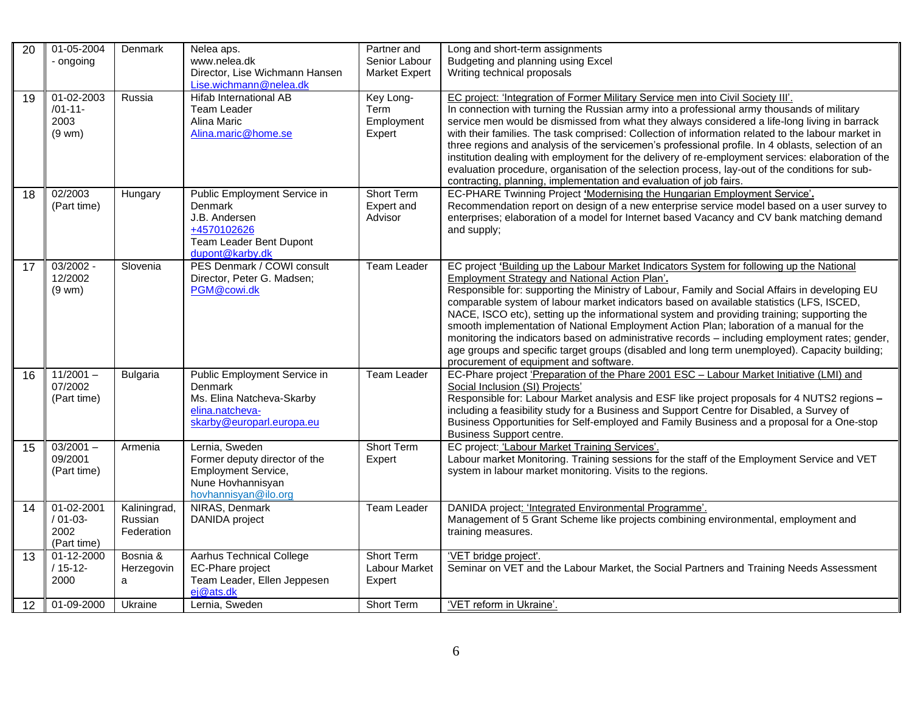| $\overline{20}$ | 01-05-2004<br>- ongoing                               | Denmark                               | Nelea aps.<br>www.nelea.dk<br>Director, Lise Wichmann Hansen                                                               | Partner and<br>Senior Labour<br><b>Market Expert</b> | Long and short-term assignments<br>Budgeting and planning using Excel<br>Writing technical proposals                                                                                                                                                                                                                                                                                                                                                                                                                                                                                                                                                                                                                                                                               |
|-----------------|-------------------------------------------------------|---------------------------------------|----------------------------------------------------------------------------------------------------------------------------|------------------------------------------------------|------------------------------------------------------------------------------------------------------------------------------------------------------------------------------------------------------------------------------------------------------------------------------------------------------------------------------------------------------------------------------------------------------------------------------------------------------------------------------------------------------------------------------------------------------------------------------------------------------------------------------------------------------------------------------------------------------------------------------------------------------------------------------------|
| 19              | 01-02-2003<br>$/01 - 11 -$<br>2003<br>$(9 \text{wm})$ | Russia                                | Lise.wichmann@nelea.dk<br><b>Hifab International AB</b><br>Team Leader<br>Alina Maric<br>Alina.maric@home.se               | Key Long-<br>Term<br>Employment<br>Expert            | EC project: 'Integration of Former Military Service men into Civil Society III'.<br>In connection with turning the Russian army into a professional army thousands of military<br>service men would be dismissed from what they always considered a life-long living in barrack<br>with their families. The task comprised: Collection of information related to the labour market in<br>three regions and analysis of the servicemen's professional profile. In 4 oblasts, selection of an<br>institution dealing with employment for the delivery of re-employment services: elaboration of the<br>evaluation procedure, organisation of the selection process, lay-out of the conditions for sub-<br>contracting, planning, implementation and evaluation of job fairs.         |
| 18              | 02/2003<br>(Part time)                                | Hungary                               | Public Employment Service in<br>Denmark<br>J.B. Andersen<br>+4570102626<br>Team Leader Bent Dupont<br>dupont@karby.dk      | <b>Short Term</b><br>Expert and<br>Advisor           | EC-PHARE Twinning Project 'Modernising the Hungarian Employment Service'.<br>Recommendation report on design of a new enterprise service model based on a user survey to<br>enterprises; elaboration of a model for Internet based Vacancy and CV bank matching demand<br>and supply;                                                                                                                                                                                                                                                                                                                                                                                                                                                                                              |
| 17              | 03/2002 -<br>12/2002<br>$(9$ wm $)$                   | Slovenia                              | PES Denmark / COWI consult<br>Director, Peter G. Madsen;<br>PGM@cowi.dk                                                    | <b>Team Leader</b>                                   | EC project 'Building up the Labour Market Indicators System for following up the National<br>Employment Strategy and National Action Plan'.<br>Responsible for: supporting the Ministry of Labour, Family and Social Affairs in developing EU<br>comparable system of labour market indicators based on available statistics (LFS, ISCED,<br>NACE, ISCO etc), setting up the informational system and providing training; supporting the<br>smooth implementation of National Employment Action Plan; laboration of a manual for the<br>monitoring the indicators based on administrative records - including employment rates; gender,<br>age groups and specific target groups (disabled and long term unemployed). Capacity building;<br>procurement of equipment and software. |
| 16              | $11/2001 -$<br>07/2002<br>(Part time)                 | <b>Bulgaria</b>                       | Public Employment Service in<br>Denmark<br>Ms. Elina Natcheva-Skarby<br>elina.natcheva-<br>skarby@europarl.europa.eu       | <b>Team Leader</b>                                   | EC-Phare project 'Preparation of the Phare 2001 ESC - Labour Market Initiative (LMI) and<br>Social Inclusion (SI) Projects'<br>Responsible for: Labour Market analysis and ESF like project proposals for 4 NUTS2 regions -<br>including a feasibility study for a Business and Support Centre for Disabled, a Survey of<br>Business Opportunities for Self-employed and Family Business and a proposal for a One-stop<br><b>Business Support centre.</b>                                                                                                                                                                                                                                                                                                                          |
| 15              | $03/2001 -$<br>09/2001<br>(Part time)                 | Armenia                               | Lernia, Sweden<br>Former deputy director of the<br><b>Employment Service,</b><br>Nune Hovhannisyan<br>hovhannisyan@ilo.org | Short Term<br>Expert                                 | EC project: 'Labour Market Training Services'.<br>Labour market Monitoring. Training sessions for the staff of the Employment Service and VET<br>system in labour market monitoring. Visits to the regions.                                                                                                                                                                                                                                                                                                                                                                                                                                                                                                                                                                        |
| 14              | 01-02-2001<br>$/01-03-$<br>2002<br>(Part time)        | Kaliningrad,<br>Russian<br>Federation | NIRAS, Denmark<br>DANIDA project                                                                                           | <b>Team Leader</b>                                   | DANIDA project: 'Integrated Environmental Programme'.<br>Management of 5 Grant Scheme like projects combining environmental, employment and<br>training measures.                                                                                                                                                                                                                                                                                                                                                                                                                                                                                                                                                                                                                  |
| 13              | 01-12-2000<br>$/15-12-$<br>2000                       | Bosnia &<br>Herzegovin<br>a           | <b>Aarhus Technical College</b><br><b>EC-Phare project</b><br>Team Leader, Ellen Jeppesen<br>ej@ats.dk                     | <b>Short Term</b><br>Labour Market<br>Expert         | 'VET bridge project'.<br>Seminar on VET and the Labour Market, the Social Partners and Training Needs Assessment                                                                                                                                                                                                                                                                                                                                                                                                                                                                                                                                                                                                                                                                   |
| 12              | 01-09-2000                                            | Ukraine                               | Lernia, Sweden                                                                                                             | Short Term                                           | 'VET reform in Ukraine'.                                                                                                                                                                                                                                                                                                                                                                                                                                                                                                                                                                                                                                                                                                                                                           |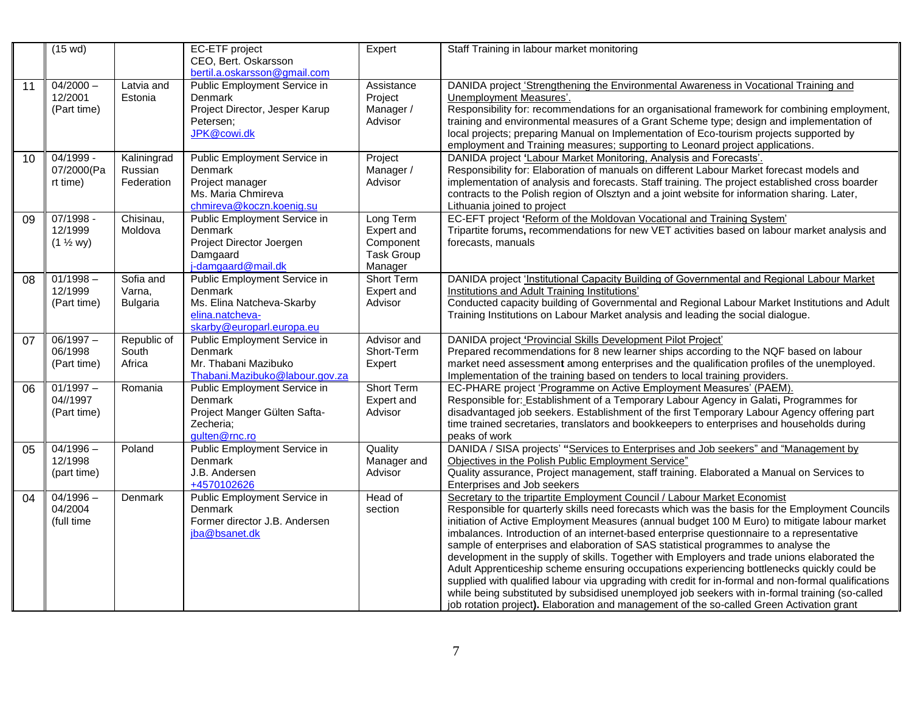|    | $(15 \text{ wd})$                              |                                        | EC-ETF project<br>CEO, Bert. Oskarsson<br>bertil.a.oskarsson@gmail.com                                               | Expert                                                               | Staff Training in labour market monitoring                                                                                                                                                                                                                                                                                                                                                                                                                                                                                                                                                                                                                                                                                                                                                                                                                                                                                                                             |
|----|------------------------------------------------|----------------------------------------|----------------------------------------------------------------------------------------------------------------------|----------------------------------------------------------------------|------------------------------------------------------------------------------------------------------------------------------------------------------------------------------------------------------------------------------------------------------------------------------------------------------------------------------------------------------------------------------------------------------------------------------------------------------------------------------------------------------------------------------------------------------------------------------------------------------------------------------------------------------------------------------------------------------------------------------------------------------------------------------------------------------------------------------------------------------------------------------------------------------------------------------------------------------------------------|
| 11 | $04/2000 -$<br>12/2001<br>(Part time)          | Latvia and<br>Estonia                  | Public Employment Service in<br><b>Denmark</b><br>Project Director, Jesper Karup<br>Petersen;<br>JPK@cowi.dk         | Assistance<br>Project<br>Manager /<br>Advisor                        | DANIDA project 'Strengthening the Environmental Awareness in Vocational Training and<br>Unemployment Measures'.<br>Responsibility for: recommendations for an organisational framework for combining employment,<br>training and environmental measures of a Grant Scheme type; design and implementation of<br>local projects; preparing Manual on Implementation of Eco-tourism projects supported by<br>employment and Training measures; supporting to Leonard project applications.                                                                                                                                                                                                                                                                                                                                                                                                                                                                               |
| 10 | $04/1999 -$<br>07/2000(Pa<br>rt time)          | Kaliningrad<br>Russian<br>Federation   | Public Employment Service in<br><b>Denmark</b><br>Project manager<br>Ms. Maria Chmireva<br>chmireva@koczn.koenig.su  | Project<br>Manager /<br>Advisor                                      | DANIDA project 'Labour Market Monitoring, Analysis and Forecasts'.<br>Responsibility for: Elaboration of manuals on different Labour Market forecast models and<br>implementation of analysis and forecasts. Staff training. The project established cross boarder<br>contracts to the Polish region of Olsztyn and a joint website for information sharing. Later,<br>Lithuania joined to project                                                                                                                                                                                                                                                                                                                                                                                                                                                                                                                                                                     |
| 09 | $07/1998 -$<br>12/1999<br>$(1 \frac{1}{2} wy)$ | Chisinau,<br>Moldova                   | Public Employment Service in<br>Denmark<br>Project Director Joergen<br>Damgaard<br>j-damgaard@mail.dk                | Long Term<br>Expert and<br>Component<br><b>Task Group</b><br>Manager | EC-EFT project 'Reform of the Moldovan Vocational and Training System'<br>Tripartite forums, recommendations for new VET activities based on labour market analysis and<br>forecasts, manuals                                                                                                                                                                                                                                                                                                                                                                                                                                                                                                                                                                                                                                                                                                                                                                          |
| 08 | $01/1998 -$<br>12/1999<br>(Part time)          | Sofia and<br>Varna,<br><b>Bulgaria</b> | Public Employment Service in<br>Denmark<br>Ms. Elina Natcheva-Skarby<br>elina.natcheva-<br>skarby@europarl.europa.eu | <b>Short Term</b><br>Expert and<br>Advisor                           | DANIDA project 'Institutional Capacity Building of Governmental and Regional Labour Market<br>Institutions and Adult Training Institutions'<br>Conducted capacity building of Governmental and Regional Labour Market Institutions and Adult<br>Training Institutions on Labour Market analysis and leading the social dialogue.                                                                                                                                                                                                                                                                                                                                                                                                                                                                                                                                                                                                                                       |
| 07 | $06/1997 -$<br>06/1998<br>(Part time)          | Republic of<br>South<br>Africa         | Public Employment Service in<br>Denmark<br>Mr. Thabani Mazibuko<br>Thabani.Mazibuko@labour.gov.za                    | Advisor and<br>Short-Term<br>Expert                                  | DANIDA project 'Provincial Skills Development Pilot Project'<br>Prepared recommendations for 8 new learner ships according to the NQF based on labour<br>market need assessment among enterprises and the qualification profiles of the unemployed.<br>Implementation of the training based on tenders to local training providers.                                                                                                                                                                                                                                                                                                                                                                                                                                                                                                                                                                                                                                    |
| 06 | $01/1997 -$<br>04//1997<br>(Part time)         | Romania                                | Public Employment Service in<br><b>Denmark</b><br>Project Manger Gülten Safta-<br>Zecheria;<br>gulten@rnc.ro         | Short Term<br>Expert and<br>Advisor                                  | EC-PHARE project 'Programme on Active Employment Measures' (PAEM).<br>Responsible for: Establishment of a Temporary Labour Agency in Galati, Programmes for<br>disadvantaged job seekers. Establishment of the first Temporary Labour Agency offering part<br>time trained secretaries, translators and bookkeepers to enterprises and households during<br>peaks of work                                                                                                                                                                                                                                                                                                                                                                                                                                                                                                                                                                                              |
| 05 | $04/1996 -$<br>12/1998<br>(part time)          | Poland                                 | Public Employment Service in<br>Denmark<br>J.B. Andersen<br>+4570102626                                              | Quality<br>Manager and<br>Advisor                                    | DANIDA / SISA projects' "Services to Enterprises and Job seekers" and "Management by<br>Objectives in the Polish Public Employment Service"<br>Quality assurance, Project management, staff training. Elaborated a Manual on Services to<br>Enterprises and Job seekers                                                                                                                                                                                                                                                                                                                                                                                                                                                                                                                                                                                                                                                                                                |
| 04 | $04/1996 -$<br>04/2004<br>(full time           | Denmark                                | Public Employment Service in<br>Denmark<br>Former director J.B. Andersen<br>jba@bsanet.dk                            | Head of<br>section                                                   | Secretary to the tripartite Employment Council / Labour Market Economist<br>Responsible for quarterly skills need forecasts which was the basis for the Employment Councils<br>initiation of Active Employment Measures (annual budget 100 M Euro) to mitigate labour market<br>imbalances. Introduction of an internet-based enterprise questionnaire to a representative<br>sample of enterprises and elaboration of SAS statistical programmes to analyse the<br>development in the supply of skills. Together with Employers and trade unions elaborated the<br>Adult Apprenticeship scheme ensuring occupations experiencing bottlenecks quickly could be<br>supplied with qualified labour via upgrading with credit for in-formal and non-formal qualifications<br>while being substituted by subsidised unemployed job seekers with in-formal training (so-called<br>job rotation project). Elaboration and management of the so-called Green Activation grant |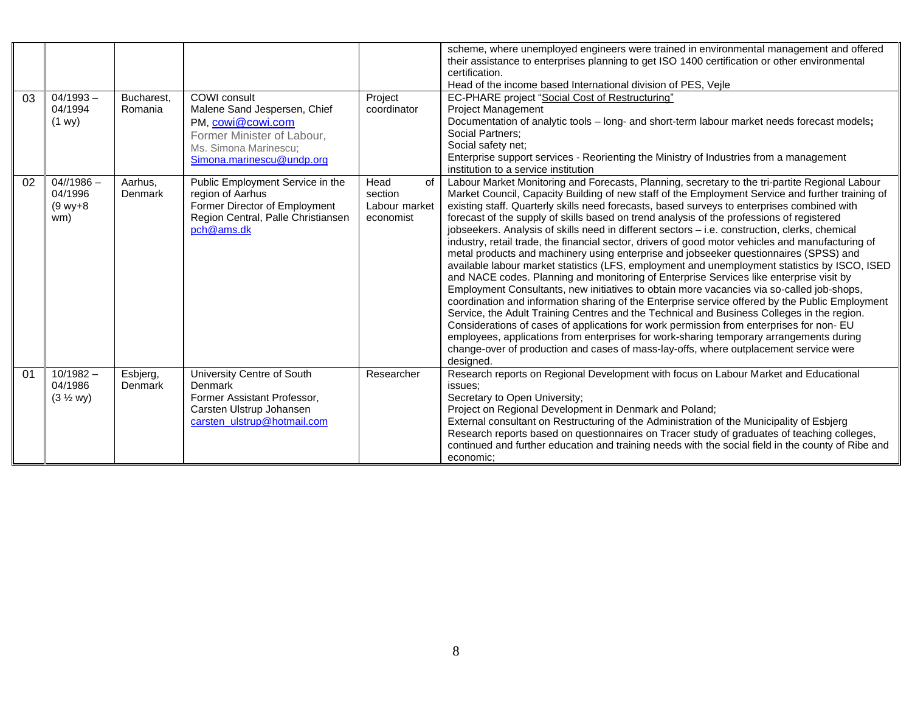| 03 | $04/1993 -$<br>04/1994                          | Bucharest,<br>Romania | COWI consult<br>Malene Sand Jespersen, Chief                                                                                              | Project<br>coordinator                              | scheme, where unemployed engineers were trained in environmental management and offered<br>their assistance to enterprises planning to get ISO 1400 certification or other environmental<br>certification.<br>Head of the income based International division of PES, Vejle<br>EC-PHARE project "Social Cost of Restructuring"<br><b>Project Management</b>                                                                                                                                                                                                                                                                                                                                                                                                                                                                                                                                                                                                                                                                                                                                                                                                                                                                                                                                                                                                                                                                                                                           |
|----|-------------------------------------------------|-----------------------|-------------------------------------------------------------------------------------------------------------------------------------------|-----------------------------------------------------|---------------------------------------------------------------------------------------------------------------------------------------------------------------------------------------------------------------------------------------------------------------------------------------------------------------------------------------------------------------------------------------------------------------------------------------------------------------------------------------------------------------------------------------------------------------------------------------------------------------------------------------------------------------------------------------------------------------------------------------------------------------------------------------------------------------------------------------------------------------------------------------------------------------------------------------------------------------------------------------------------------------------------------------------------------------------------------------------------------------------------------------------------------------------------------------------------------------------------------------------------------------------------------------------------------------------------------------------------------------------------------------------------------------------------------------------------------------------------------------|
|    | (1 w y)                                         |                       | PM, cowi@cowi.com<br>Former Minister of Labour,<br>Ms. Simona Marinescu;<br>Simona.marinescu@undp.org                                     |                                                     | Documentation of analytic tools - long- and short-term labour market needs forecast models;<br>Social Partners:<br>Social safety net;<br>Enterprise support services - Reorienting the Ministry of Industries from a management<br>institution to a service institution                                                                                                                                                                                                                                                                                                                                                                                                                                                                                                                                                                                                                                                                                                                                                                                                                                                                                                                                                                                                                                                                                                                                                                                                               |
| 02 | $04$ //1986 -<br>04/1996<br>$(9 wv + 8)$<br>wm) | Aarhus,<br>Denmark    | Public Employment Service in the<br>region of Aarhus<br>Former Director of Employment<br>Region Central, Palle Christiansen<br>pch@ams.dk | Head<br>of<br>section<br>Labour market<br>economist | Labour Market Monitoring and Forecasts, Planning, secretary to the tri-partite Regional Labour<br>Market Council, Capacity Building of new staff of the Employment Service and further training of<br>existing staff. Quarterly skills need forecasts, based surveys to enterprises combined with<br>forecast of the supply of skills based on trend analysis of the professions of registered<br>jobseekers. Analysis of skills need in different sectors - i.e. construction, clerks, chemical<br>industry, retail trade, the financial sector, drivers of good motor vehicles and manufacturing of<br>metal products and machinery using enterprise and jobseeker questionnaires (SPSS) and<br>available labour market statistics (LFS, employment and unemployment statistics by ISCO, ISED<br>and NACE codes. Planning and monitoring of Enterprise Services like enterprise visit by<br>Employment Consultants, new initiatives to obtain more vacancies via so-called job-shops,<br>coordination and information sharing of the Enterprise service offered by the Public Employment<br>Service, the Adult Training Centres and the Technical and Business Colleges in the region.<br>Considerations of cases of applications for work permission from enterprises for non- EU<br>employees, applications from enterprises for work-sharing temporary arrangements during<br>change-over of production and cases of mass-lay-offs, where outplacement service were<br>designed. |
| 01 | $10/1982 -$<br>04/1986<br>$(3 \frac{1}{2}$ wy)  | Esbjerg,<br>Denmark   | University Centre of South<br>Denmark<br>Former Assistant Professor.<br>Carsten Ulstrup Johansen<br>carsten ulstrup@hotmail.com           | Researcher                                          | Research reports on Regional Development with focus on Labour Market and Educational<br>issues:<br>Secretary to Open University;<br>Project on Regional Development in Denmark and Poland;<br>External consultant on Restructuring of the Administration of the Municipality of Esbjerg<br>Research reports based on questionnaires on Tracer study of graduates of teaching colleges,<br>continued and further education and training needs with the social field in the county of Ribe and<br>economic:                                                                                                                                                                                                                                                                                                                                                                                                                                                                                                                                                                                                                                                                                                                                                                                                                                                                                                                                                                             |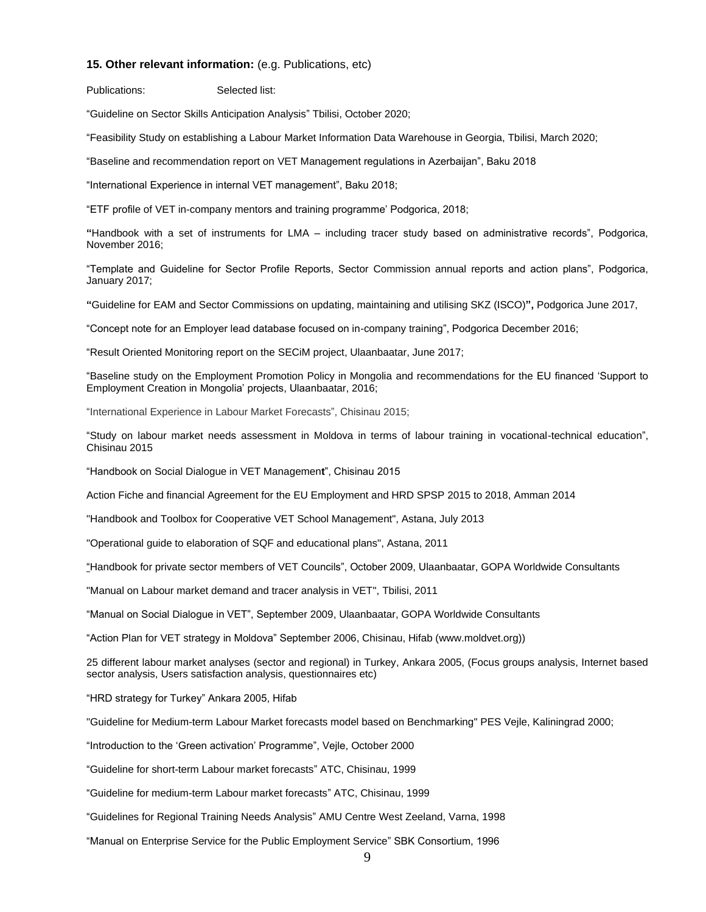#### **15. Other relevant information:** (e.g. Publications, etc)

Publications: Selected list:

"Guideline on Sector Skills Anticipation Analysis" Tbilisi, October 2020;

"Feasibility Study on establishing a Labour Market Information Data Warehouse in Georgia, Tbilisi, March 2020;

"Baseline and recommendation report on VET Management regulations in Azerbaijan", Baku 2018

"International Experience in internal VET management", Baku 2018;

"ETF profile of VET in-company mentors and training programme' Podgorica, 2018;

**"**Handbook with a set of instruments for LMA – including tracer study based on administrative records", Podgorica, November 2016;

"Template and Guideline for Sector Profile Reports, Sector Commission annual reports and action plans", Podgorica, January 2017;

**"**Guideline for EAM and Sector Commissions on updating, maintaining and utilising SKZ (ISCO)**",** Podgorica June 2017,

"Concept note for an Employer lead database focused on in-company training", Podgorica December 2016;

"Result Oriented Monitoring report on the SECiM project, Ulaanbaatar, June 2017;

"Baseline study on the Employment Promotion Policy in Mongolia and recommendations for the EU financed 'Support to Employment Creation in Mongolia' projects, Ulaanbaatar, 2016;

"International Experience in Labour Market Forecasts", Chisinau 2015;

"Study on labour market needs assessment in Moldova in terms of labour training in vocational-technical education", Chisinau 2015

"Handbook on Social Dialogue in VET Managemen**t**", Chisinau 2015

Action Fiche and financial Agreement for the EU Employment and HRD SPSP 2015 to 2018, Amman 2014

"Handbook and Toolbox for Cooperative VET School Management", Astana, July 2013

"Operational guide to elaboration of SQF and educational plans", Astana, 2011

"Handbook for private sector members of VET Councils", October 2009, Ulaanbaatar, GOPA Worldwide Consultants

"Manual on Labour market demand and tracer analysis in VET", Tbilisi, 2011

"Manual on Social Dialogue in VET", September 2009, Ulaanbaatar, GOPA Worldwide Consultants

"Action Plan for VET strategy in Moldova" September 2006, Chisinau, Hifab [\(www.moldvet.org\)](http://www.moldvet.org/))

25 different labour market analyses (sector and regional) in Turkey, Ankara 2005, (Focus groups analysis, Internet based sector analysis, Users satisfaction analysis, questionnaires etc)

"HRD strategy for Turkey" Ankara 2005, Hifab

"Guideline for Medium-term Labour Market forecasts model based on Benchmarking" PES Vejle, Kaliningrad 2000;

"Introduction to the 'Green activation' Programme", Vejle, October 2000

"Guideline for short-term Labour market forecasts" ATC, Chisinau, 1999

"Guideline for medium-term Labour market forecasts" ATC, Chisinau, 1999

"Guidelines for Regional Training Needs Analysis" AMU Centre West Zeeland, Varna, 1998

"Manual on Enterprise Service for the Public Employment Service" SBK Consortium, 1996